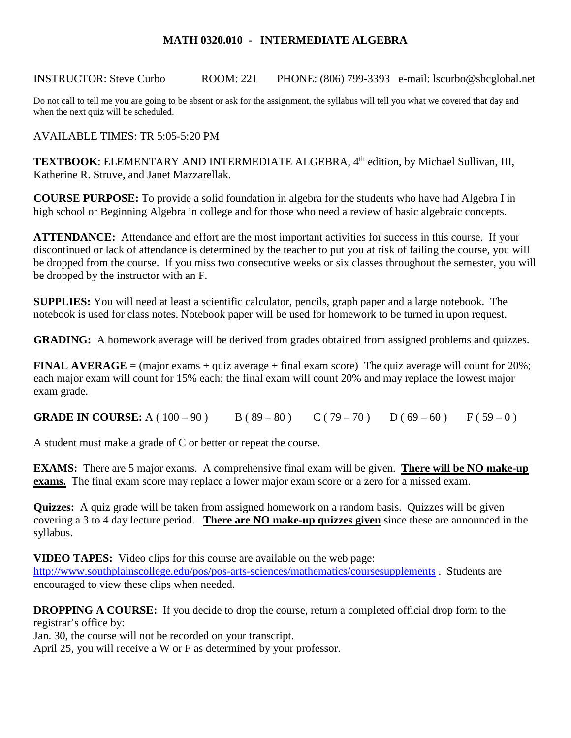## **MATH 0320.010 - INTERMEDIATE ALGEBRA**

INSTRUCTOR: Steve Curbo ROOM: 221 PHONE: (806) 799-3393 e-mail: lscurbo@sbcglobal.net

Do not call to tell me you are going to be absent or ask for the assignment, the syllabus will tell you what we covered that day and when the next quiz will be scheduled.

AVAILABLE TIMES: TR 5:05-5:20 PM

TEXTBOOK: ELEMENTARY AND INTERMEDIATE ALGEBRA, 4<sup>th</sup> edition, by Michael Sullivan, III, Katherine R. Struve, and Janet Mazzarellak.

**COURSE PURPOSE:** To provide a solid foundation in algebra for the students who have had Algebra I in high school or Beginning Algebra in college and for those who need a review of basic algebraic concepts.

**ATTENDANCE:** Attendance and effort are the most important activities for success in this course. If your discontinued or lack of attendance is determined by the teacher to put you at risk of failing the course, you will be dropped from the course. If you miss two consecutive weeks or six classes throughout the semester, you will be dropped by the instructor with an F.

**SUPPLIES:** You will need at least a scientific calculator, pencils, graph paper and a large notebook. The notebook is used for class notes. Notebook paper will be used for homework to be turned in upon request.

**GRADING:** A homework average will be derived from grades obtained from assigned problems and quizzes.

**FINAL AVERAGE** = (major exams + quiz average + final exam score) The quiz average will count for  $20\%$ ; each major exam will count for 15% each; the final exam will count 20% and may replace the lowest major exam grade.

**GRADE IN COURSE:** A (  $100 - 90$  ) B (  $89 - 80$  ) C (  $79 - 70$  ) D (  $69 - 60$  ) F (  $59 - 0$  )

A student must make a grade of C or better or repeat the course.

**EXAMS:** There are 5 major exams. A comprehensive final exam will be given. **There will be NO make-up exams.** The final exam score may replace a lower major exam score or a zero for a missed exam.

**Quizzes:** A quiz grade will be taken from assigned homework on a random basis. Quizzes will be given covering a 3 to 4 day lecture period. **There are NO make-up quizzes given** since these are announced in the syllabus.

**VIDEO TAPES:** Video clips for this course are available on the web page:

<http://www.southplainscollege.edu/pos/pos-arts-sciences/mathematics/coursesupplements> . Students are encouraged to view these clips when needed.

**DROPPING A COURSE:** If you decide to drop the course, return a completed official drop form to the registrar's office by:

Jan. 30, the course will not be recorded on your transcript.

April 25, you will receive a W or F as determined by your professor.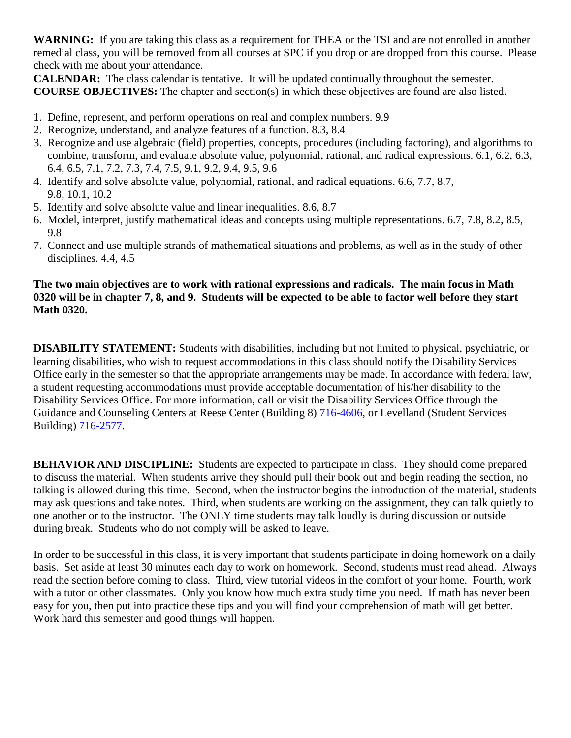**WARNING:** If you are taking this class as a requirement for THEA or the TSI and are not enrolled in another remedial class, you will be removed from all courses at SPC if you drop or are dropped from this course. Please check with me about your attendance.

**CALENDAR:** The class calendar is tentative. It will be updated continually throughout the semester. **COURSE OBJECTIVES:** The chapter and section(s) in which these objectives are found are also listed.

- 1. Define, represent, and perform operations on real and complex numbers. 9.9
- 2. Recognize, understand, and analyze features of a function. 8.3, 8.4
- 3. Recognize and use algebraic (field) properties, concepts, procedures (including factoring), and algorithms to combine, transform, and evaluate absolute value, polynomial, rational, and radical expressions. 6.1, 6.2, 6.3, 6.4, 6.5, 7.1, 7.2, 7.3, 7.4, 7.5, 9.1, 9.2, 9.4, 9.5, 9.6
- 4. Identify and solve absolute value, polynomial, rational, and radical equations. 6.6, 7.7, 8.7, 9.8, 10.1, 10.2
- 5. Identify and solve absolute value and linear inequalities. 8.6, 8.7
- 6. Model, interpret, justify mathematical ideas and concepts using multiple representations. 6.7, 7.8, 8.2, 8.5, 9.8
- 7. Connect and use multiple strands of mathematical situations and problems, as well as in the study of other disciplines. 4.4, 4.5

## **The two main objectives are to work with rational expressions and radicals. The main focus in Math 0320 will be in chapter 7, 8, and 9. Students will be expected to be able to factor well before they start Math 0320.**

**DISABILITY STATEMENT:** Students with disabilities, including but not limited to physical, psychiatric, or learning disabilities, who wish to request accommodations in this class should notify the Disability Services Office early in the semester so that the appropriate arrangements may be made. In accordance with federal law, a student requesting accommodations must provide acceptable documentation of his/her disability to the Disability Services Office. For more information, call or visit the Disability Services Office through the Guidance and Counseling Centers at Reese Center (Building 8) [716-4606,](tel:716-4606) or Levelland (Student Services Building) [716-2577.](tel:716-2577)

**BEHAVIOR AND DISCIPLINE:** Students are expected to participate in class. They should come prepared to discuss the material. When students arrive they should pull their book out and begin reading the section, no talking is allowed during this time. Second, when the instructor begins the introduction of the material, students may ask questions and take notes. Third, when students are working on the assignment, they can talk quietly to one another or to the instructor. The ONLY time students may talk loudly is during discussion or outside during break. Students who do not comply will be asked to leave.

In order to be successful in this class, it is very important that students participate in doing homework on a daily basis. Set aside at least 30 minutes each day to work on homework. Second, students must read ahead. Always read the section before coming to class. Third, view tutorial videos in the comfort of your home. Fourth, work with a tutor or other classmates. Only you know how much extra study time you need. If math has never been easy for you, then put into practice these tips and you will find your comprehension of math will get better. Work hard this semester and good things will happen.